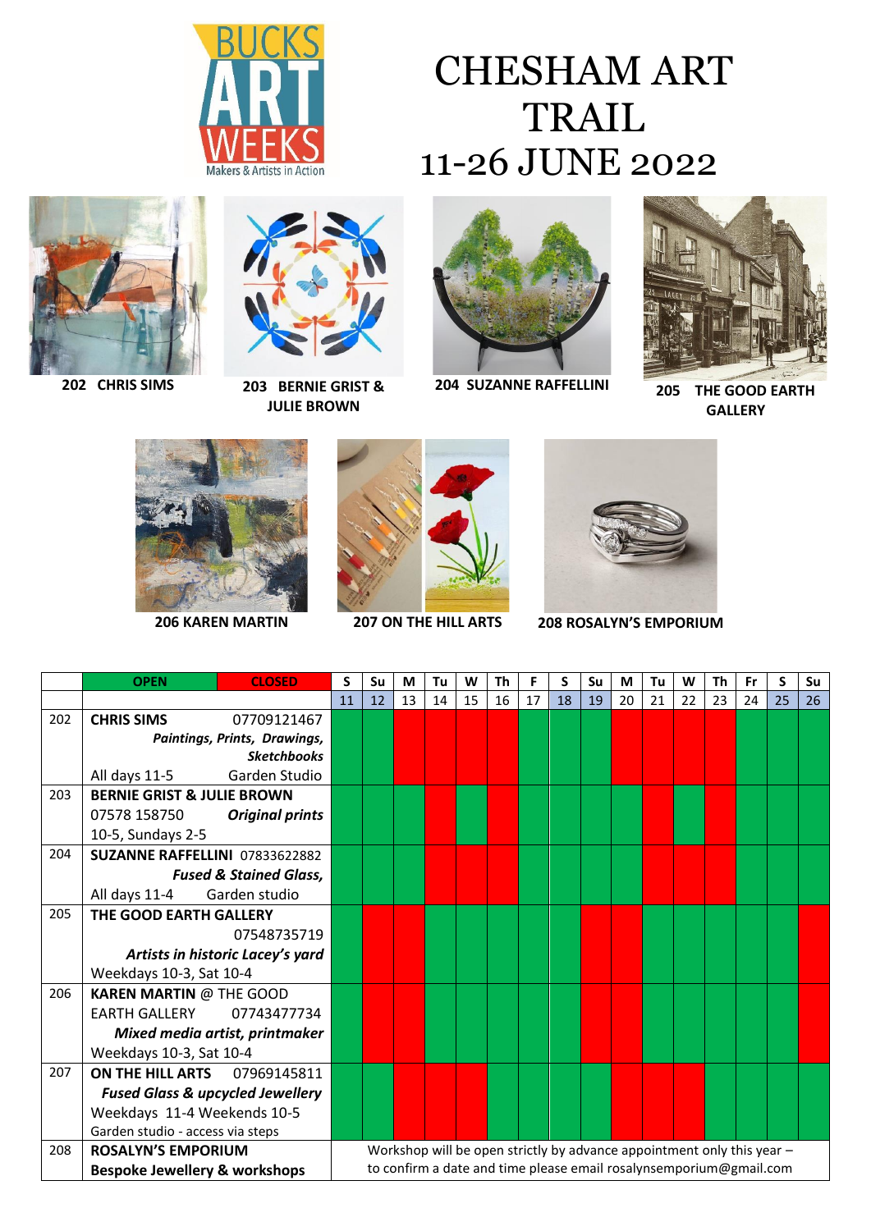

## CHESHAM ART TRAIL 11-26 JUNE 2022





**202 CHRIS SIMS 203 BERNIE GRIST & JULIE BROWN**



**204 SUZANNE RAFFELLINI 205 THE GOOD EARTH** 



**GALLERY**







**206 KAREN MARTIN 207 ON THE HILL ARTS 208 ROSALYN'S EMPORIUM**

|     | <b>OPEN</b>                                 | <b>CLOSED</b>          | S                                                                      | Su | М  | Tu | W  | Τh | F  | S  | Su | М  | Tu | W                                                                  | Th | Fr | S  | Su |
|-----|---------------------------------------------|------------------------|------------------------------------------------------------------------|----|----|----|----|----|----|----|----|----|----|--------------------------------------------------------------------|----|----|----|----|
|     |                                             |                        | 11                                                                     | 12 | 13 | 14 | 15 | 16 | 17 | 18 | 19 | 20 | 21 | 22                                                                 | 23 | 24 | 25 | 26 |
| 202 | <b>CHRIS SIMS</b>                           | 07709121467            |                                                                        |    |    |    |    |    |    |    |    |    |    |                                                                    |    |    |    |    |
|     | Paintings, Prints, Drawings,                |                        |                                                                        |    |    |    |    |    |    |    |    |    |    |                                                                    |    |    |    |    |
|     |                                             | <b>Sketchbooks</b>     |                                                                        |    |    |    |    |    |    |    |    |    |    |                                                                    |    |    |    |    |
|     | All days 11-5                               | Garden Studio          |                                                                        |    |    |    |    |    |    |    |    |    |    |                                                                    |    |    |    |    |
| 203 | <b>BERNIE GRIST &amp; JULIE BROWN</b>       |                        |                                                                        |    |    |    |    |    |    |    |    |    |    |                                                                    |    |    |    |    |
|     | 07578 158750                                | <b>Original prints</b> |                                                                        |    |    |    |    |    |    |    |    |    |    |                                                                    |    |    |    |    |
|     | 10-5, Sundays 2-5                           |                        |                                                                        |    |    |    |    |    |    |    |    |    |    |                                                                    |    |    |    |    |
| 204 | SUZANNE RAFFELLINI 07833622882              |                        |                                                                        |    |    |    |    |    |    |    |    |    |    |                                                                    |    |    |    |    |
|     | <b>Fused &amp; Stained Glass,</b>           |                        |                                                                        |    |    |    |    |    |    |    |    |    |    |                                                                    |    |    |    |    |
|     | All days 11-4                               | Garden studio          |                                                                        |    |    |    |    |    |    |    |    |    |    |                                                                    |    |    |    |    |
| 205 | THE GOOD EARTH GALLERY                      |                        |                                                                        |    |    |    |    |    |    |    |    |    |    |                                                                    |    |    |    |    |
|     |                                             | 07548735719            |                                                                        |    |    |    |    |    |    |    |    |    |    |                                                                    |    |    |    |    |
|     | Artists in historic Lacey's yard            |                        |                                                                        |    |    |    |    |    |    |    |    |    |    |                                                                    |    |    |    |    |
|     | Weekdays 10-3, Sat 10-4                     |                        |                                                                        |    |    |    |    |    |    |    |    |    |    |                                                                    |    |    |    |    |
| 206 | <b>KAREN MARTIN @ THE GOOD</b>              |                        |                                                                        |    |    |    |    |    |    |    |    |    |    |                                                                    |    |    |    |    |
|     | <b>EARTH GALLERY</b>                        | 07743477734            |                                                                        |    |    |    |    |    |    |    |    |    |    |                                                                    |    |    |    |    |
|     | Mixed media artist, printmaker              |                        |                                                                        |    |    |    |    |    |    |    |    |    |    |                                                                    |    |    |    |    |
|     | Weekdays 10-3, Sat 10-4                     |                        |                                                                        |    |    |    |    |    |    |    |    |    |    |                                                                    |    |    |    |    |
| 207 | <b>ON THE HILL ARTS</b>                     | 07969145811            |                                                                        |    |    |    |    |    |    |    |    |    |    |                                                                    |    |    |    |    |
|     | <b>Fused Glass &amp; upcycled Jewellery</b> |                        |                                                                        |    |    |    |    |    |    |    |    |    |    |                                                                    |    |    |    |    |
|     | Weekdays 11-4 Weekends 10-5                 |                        |                                                                        |    |    |    |    |    |    |    |    |    |    |                                                                    |    |    |    |    |
|     | Garden studio - access via steps            |                        |                                                                        |    |    |    |    |    |    |    |    |    |    |                                                                    |    |    |    |    |
| 208 | <b>ROSALYN'S EMPORIUM</b>                   |                        | Workshop will be open strictly by advance appointment only this year - |    |    |    |    |    |    |    |    |    |    |                                                                    |    |    |    |    |
|     | <b>Bespoke Jewellery &amp; workshops</b>    |                        |                                                                        |    |    |    |    |    |    |    |    |    |    | to confirm a date and time please email rosalynsemporium@gmail.com |    |    |    |    |